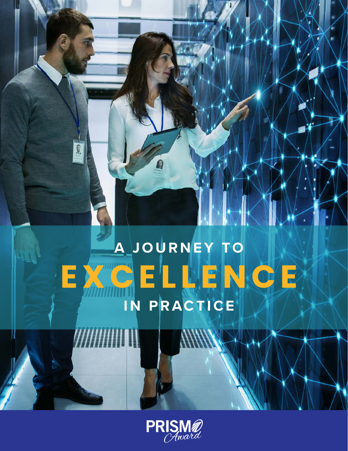# **A J O U R N E Y TO E X C E L L E N C E IN PRACTICE**

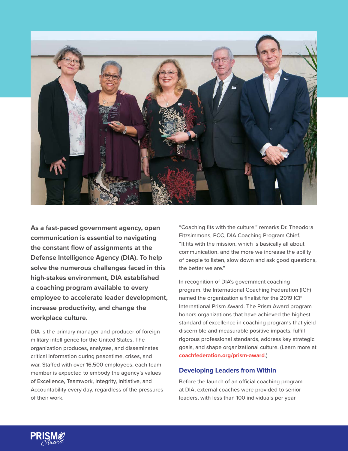

**As a fast-paced government agency, open communication is essential to navigating the constant flow of assignments at the Defense Intelligence Agency (DIA). To help solve the numerous challenges faced in this high-stakes environment, DIA established a coaching program available to every employee to accelerate leader development, increase productivity, and change the workplace culture.**

DIA is the primary manager and producer of foreign military intelligence for the United States. The organization produces, analyzes, and disseminates critical information during peacetime, crises, and war. Staffed with over 16,500 employees, each team member is expected to embody the agency's values of Excellence, Teamwork, Integrity, Initiative, and Accountability every day, regardless of the pressures of their work.

"Coaching fits with the culture," remarks Dr. Theodora Fitzsimmons, PCC, DIA Coaching Program Chief. "It fits with the mission, which is basically all about communication, and the more we increase the ability of people to listen, slow down and ask good questions, the better we are."

In recognition of DIA's government coaching program, the International Coaching Federation (ICF) named the organization a finalist for the 2019 ICF International Prism Award. The Prism Award program honors organizations that have achieved the highest standard of excellence in coaching programs that yield discernible and measurable positive impacts, fulfill rigorous professional standards, address key strategic goals, and shape organizational culture. (Learn more at **[coachfederation.org/prism-award](http://coachfederation.org/prism-award)**.)

## **Developing Leaders from Within**

Before the launch of an official coaching program at DIA, external coaches were provided to senior leaders, with less than 100 individuals per year

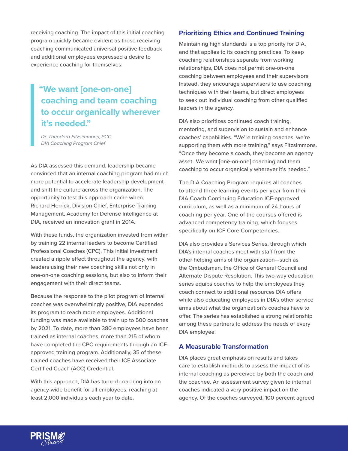receiving coaching. The impact of this initial coaching program quickly became evident as those receiving coaching communicated universal positive feedback and additional employees expressed a desire to experience coaching for themselves.

## **"We want [one-on-one] coaching and team coaching to occur organically wherever it's needed."**

*Dr. Theodora Fitzsimmons, PCC DIA Coaching Program Chief*

As DIA assessed this demand, leadership became convinced that an internal coaching program had much more potential to accelerate leadership development and shift the culture across the organization. The opportunity to test this approach came when Richard Herrick, Division Chief, Enterprise Training Management, Academy for Defense Intelligence at DIA, received an innovation grant in 2014.

With these funds, the organization invested from within by training 22 internal leaders to become Certified Professional Coaches (CPC). This initial investment created a ripple effect throughout the agency, with leaders using their new coaching skills not only in one-on-one coaching sessions, but also to inform their engagement with their direct teams.

Because the response to the pilot program of internal coaches was overwhelmingly positive, DIA expanded its program to reach more employees. Additional funding was made available to train up to 500 coaches by 2021. To date, more than 380 employees have been trained as internal coaches, more than 215 of whom have completed the CPC requirements through an ICFapproved training program. Additionally, 35 of these trained coaches have received their ICF Associate Certified Coach (ACC) Credential.

With this approach, DIA has turned coaching into an agency-wide benefit for all employees, reaching at least 2,000 individuals each year to date.

#### **Prioritizing Ethics and Continued Training**

Maintaining high standards is a top priority for DIA, and that applies to its coaching practices. To keep coaching relationships separate from working relationships, DIA does not permit one-on-one coaching between employees and their supervisors. Instead, they encourage supervisors to use coaching techniques with their teams, but direct employees to seek out individual coaching from other qualified leaders in the agency.

DIA also prioritizes continued coach training, mentoring, and supervision to sustain and enhance coaches' capabilities. "We're training coaches, we're supporting them with more training," says Fitzsimmons. "Once they become a coach, they become an agency asset…We want [one-on-one] coaching and team coaching to occur organically wherever it's needed."

The DIA Coaching Program requires all coaches to attend three learning events per year from their DIA Coach Continuing Education ICF-approved curriculum, as well as a minimum of 24 hours of coaching per year. One of the courses offered is advanced competency training, which focuses specifically on ICF Core Competencies.

DIA also provides a Services Series, through which DIA's internal coaches meet with staff from the other helping arms of the organization—such as the Ombudsman, the Office of General Council and Alternate Dispute Resolution. This two-way education series equips coaches to help the employees they coach connect to additional resources DIA offers while also educating employees in DIA's other service arms about what the organization's coaches have to offer. The series has established a strong relationship among these partners to address the needs of every DIA employee.

#### **A Measurable Transformation**

DIA places great emphasis on results and takes care to establish methods to assess the impact of its internal coaching as perceived by both the coach and the coachee. An assessment survey given to internal coaches indicated a very positive impact on the agency. Of the coaches surveyed, 100 percent agreed